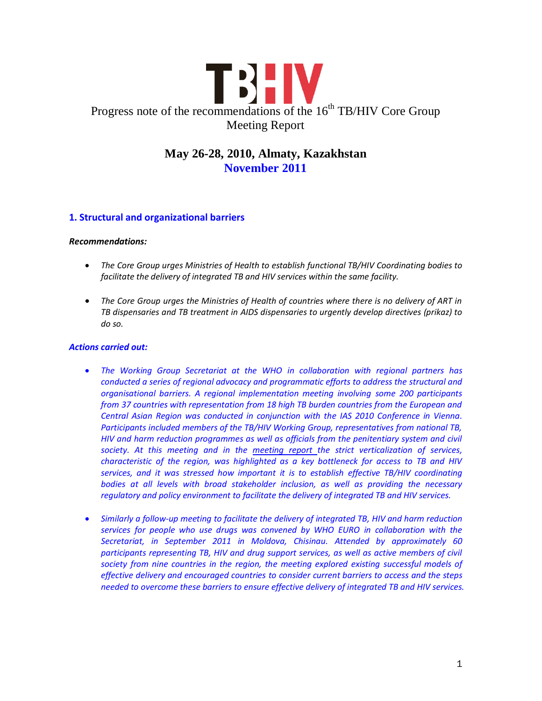

# **May 26-28, 2010, Almaty, Kazakhstan November 2011**

# **1. Structural and organizational barriers**

#### *Recommendations:*

- *The Core Group urges Ministries of Health to establish functional TB/HIV Coordinating bodies to facilitate the delivery of integrated TB and HIV services within the same facility.*
- *The Core Group urges the Ministries of Health of countries where there is no delivery of ART in TB dispensaries and TB treatment in AIDS dispensaries to urgently develop directives (prikaz) to do so.*

- *The Working Group Secretariat at the WHO in collaboration with regional partners has conducted a series of regional advocacy and programmatic efforts to address the structural and organisational barriers. A regional implementation meeting involving some 200 participants from 37 countries with representation from 18 high TB burden countries from the European and Central Asian Region was conducted in conjunction with the IAS 2010 Conference in Vienna. Participants included members of the TB/HIV Working Group, representatives from national TB, HIV and harm reduction programmes as well as officials from the penitentiary system and civil society. At this meeting and in the [meeting report t](http://www.stoptb.org/wg/tb_hiv/assets/documents/euro_meeting%20report.pdf)he strict verticalization of services, characteristic of the region, was highlighted as a key bottleneck for access to TB and HIV services, and it was stressed how important it is to establish effective TB/HIV coordinating bodies at all levels with broad stakeholder inclusion, as well as providing the necessary regulatory and policy environment to facilitate the delivery of integrated TB and HIV services.*
- *Similarly a follow-up meeting to facilitate the delivery of integrated TB, HIV and harm reduction services for people who use drugs was convened by WHO EURO in collaboration with the Secretariat, in September 2011 in Moldova, Chisinau. Attended by approximately 60 participants representing TB, HIV and drug support services, as well as active members of civil society from nine countries in the region, the meeting explored existing successful models of effective delivery and encouraged countries to consider current barriers to access and the steps needed to overcome these barriers to ensure effective delivery of integrated TB and HIV services.*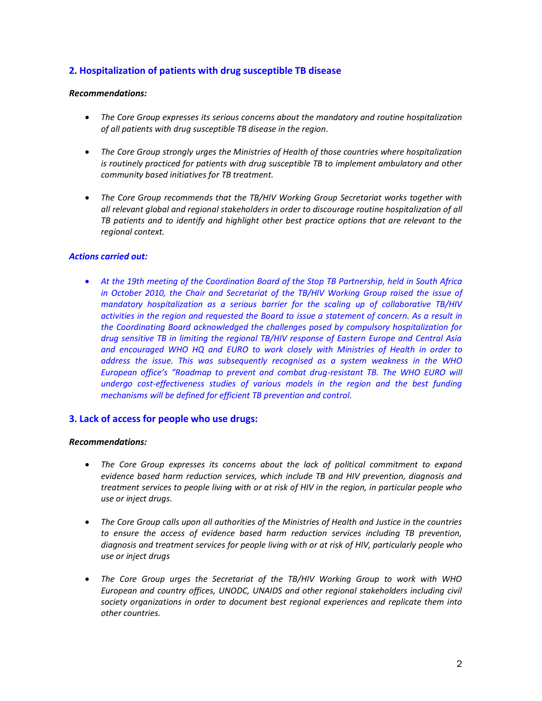# **2. Hospitalization of patients with drug susceptible TB disease**

#### *Recommendations:*

- *The Core Group expresses its serious concerns about the mandatory and routine hospitalization of all patients with drug susceptible TB disease in the region.*
- *The Core Group strongly urges the Ministries of Health of those countries where hospitalization is routinely practiced for patients with drug susceptible TB to implement ambulatory and other community based initiatives for TB treatment.*
- *The Core Group recommends that the TB/HIV Working Group Secretariat works together with all relevant global and regional stakeholders in order to discourage routine hospitalization of all TB patients and to identify and highlight other best practice options that are relevant to the regional context.*

#### *Actions carried out:*

 *At the 19th meeting of the Coordination Board of the Stop TB Partnership, held in South Africa in October 2010, the Chair and Secretariat of the TB/HIV Working Group raised the issue of mandatory hospitalization as a serious barrier for the scaling up of collaborative TB/HIV activities in the region and requested the Board to issue a statement of concern. As a result in the Coordinating Board acknowledged the challenges posed by compulsory hospitalization for drug sensitive TB in limiting the regional TB/HIV response of Eastern Europe and Central Asia and encouraged WHO HQ and EURO to work closely with Ministries of Health in order to address the issue. This was subsequently recognised as a system weakness in the WHO European office's "Roadmap to prevent and combat drug-resistant TB. The WHO EURO will undergo cost-effectiveness studies of various models in the region and the best funding mechanisms will be defined for efficient TB prevention and control.*

### **3. Lack of access for people who use drugs:**

#### *Recommendations:*

- *The Core Group expresses its concerns about the lack of political commitment to expand evidence based harm reduction services, which include TB and HIV prevention, diagnosis and treatment services to people living with or at risk of HIV in the region, in particular people who use or inject drugs.*
- *The Core Group calls upon all authorities of the Ministries of Health and Justice in the countries to ensure the access of evidence based harm reduction services including TB prevention, diagnosis and treatment services for people living with or at risk of HIV, particularly people who use or inject drugs*
- *The Core Group urges the Secretariat of the TB/HIV Working Group to work with WHO European and country offices, UNODC, UNAIDS and other regional stakeholders including civil society organizations in order to document best regional experiences and replicate them into other countries.*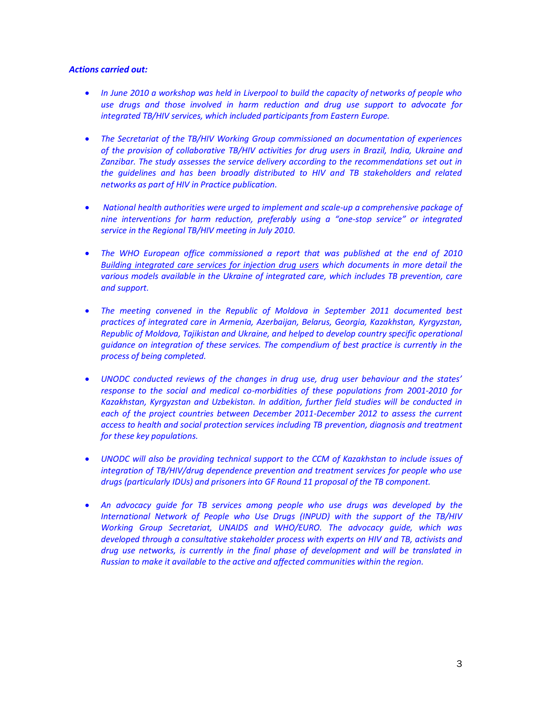- *In June 2010 a workshop was held in Liverpool to build the capacity of networks of people who use drugs and those involved in harm reduction and drug use support to advocate for integrated TB/HIV services, which included participants from Eastern Europe.*
- *The Secretariat of the TB/HIV Working Group commissioned an documentation of experiences of the provision of collaborative TB/HIV activities for drug users in Brazil, India, Ukraine and Zanzibar. The study assesses the service delivery according to the recommendations set out in the guidelines and has been broadly distributed to HIV and TB stakeholders and related networks as part of HIV in Practice publication.*
- *National health authorities were urged to implement and scale-up a comprehensive package of nine interventions for harm reduction, preferably using a "one-stop service" or integrated service in the Regional TB/HIV meeting in July 2010.*
- *The WHO European office commissioned a report that was published at the end of 2010 [Building integrated care services for injection drug users](http://www.euro.who.int/__data/assets/pdf_file/0016/130651/e94651.pdf) which documents in more detail the various models available in the Ukraine of integrated care, which includes TB prevention, care and support.*
- *The meeting convened in the Republic of Moldova in September 2011 documented best practices of integrated care in Armenia, Azerbaijan, Belarus, Georgia, Kazakhstan, Kyrgyzstan, Republic of Moldova, Tajikistan and Ukraine, and helped to develop country specific operational guidance on integration of these services. The compendium of best practice is currently in the process of being completed.*
- *UNODC conducted reviews of the changes in drug use, drug user behaviour and the states' response to the social and medical co-morbidities of these populations from 2001-2010 for Kazakhstan, Kyrgyzstan and Uzbekistan. In addition, further field studies will be conducted in each of the project countries between December 2011-December 2012 to assess the current access to health and social protection services including TB prevention, diagnosis and treatment for these key populations.*
- *UNODC will also be providing technical support to the CCM of Kazakhstan to include issues of integration of TB/HIV/drug dependence prevention and treatment services for people who use drugs (particularly IDUs) and prisoners into GF Round 11 proposal of the TB component.*
- *An advocacy guide for TB services among people who use drugs was developed by the International Network of People who Use Drugs (INPUD) with the support of the TB/HIV Working Group Secretariat, UNAIDS and WHO/EURO. The advocacy guide, which was developed through a consultative stakeholder process with experts on HIV and TB, activists and drug use networks, is currently in the final phase of development and will be translated in Russian to make it available to the active and affected communities within the region.*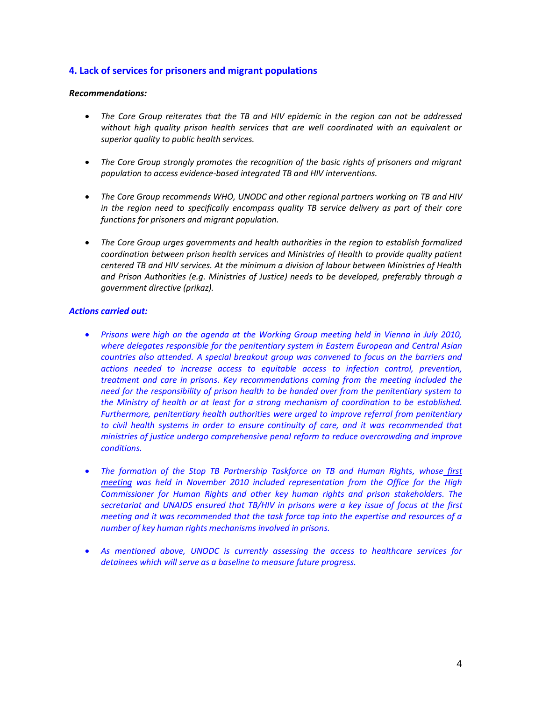# **4. Lack of services for prisoners and migrant populations**

#### *Recommendations:*

- *The Core Group reiterates that the TB and HIV epidemic in the region can not be addressed without high quality prison health services that are well coordinated with an equivalent or superior quality to public health services.*
- *The Core Group strongly promotes the recognition of the basic rights of prisoners and migrant population to access evidence-based integrated TB and HIV interventions.*
- *The Core Group recommends WHO, UNODC and other regional partners working on TB and HIV in the region need to specifically encompass quality TB service delivery as part of their core functions for prisoners and migrant population.*
- *The Core Group urges governments and health authorities in the region to establish formalized coordination between prison health services and Ministries of Health to provide quality patient centered TB and HIV services. At the minimum a division of labour between Ministries of Health and Prison Authorities (e.g. Ministries of Justice) needs to be developed, preferably through a government directive (prikaz).*

- *Prisons were high on the agenda at the Working Group meeting held in Vienna in July 2010, where delegates responsible for the penitentiary system in Eastern European and Central Asian countries also attended. A special breakout group was convened to focus on the barriers and actions needed to increase access to equitable access to infection control, prevention, treatment and care in prisons. Key recommendations coming from the meeting included the need for the responsibility of prison health to be handed over from the penitentiary system to the Ministry of health or at least for a strong mechanism of coordination to be established. Furthermore, penitentiary health authorities were urged to improve referral from penitentiary to civil health systems in order to ensure continuity of care, and it was recommended that ministries of justice undergo comprehensive penal reform to reduce overcrowding and improve conditions.*
- *The formation of the Stop TB Partnership Taskforce on TB and Human Rights, whose [first](http://www.stoptb.org/assets/documents/global/hrtf/Report%20on%201st%20TB%20and%20HR%20Task%20Force%20Meeting.pdf)  [meeting](http://www.stoptb.org/assets/documents/global/hrtf/Report%20on%201st%20TB%20and%20HR%20Task%20Force%20Meeting.pdf) was held in November 2010 included representation from the Office for the High Commissioner for Human Rights and other key human rights and prison stakeholders. The secretariat and UNAIDS ensured that TB/HIV in prisons were a key issue of focus at the first meeting and it was recommended that the task force tap into the expertise and resources of a number of key human rights mechanisms involved in prisons.*
- *As mentioned above, UNODC is currently assessing the access to healthcare services for detainees which will serve as a baseline to measure future progress.*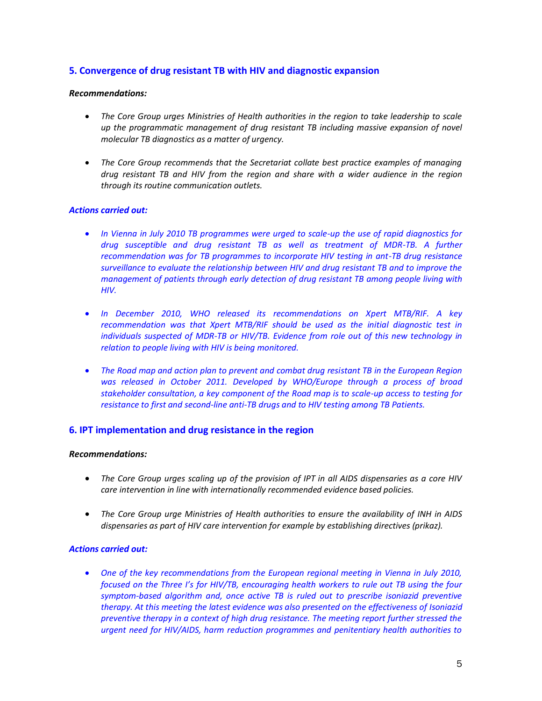# **5. Convergence of drug resistant TB with HIV and diagnostic expansion**

#### *Recommendations:*

- *The Core Group urges Ministries of Health authorities in the region to take leadership to scale up the programmatic management of drug resistant TB including massive expansion of novel molecular TB diagnostics as a matter of urgency.*
- *The Core Group recommends that the Secretariat collate best practice examples of managing drug resistant TB and HIV from the region and share with a wider audience in the region through its routine communication outlets.*

### *Actions carried out:*

- *In Vienna in July 2010 TB programmes were urged to scale-up the use of rapid diagnostics for drug susceptible and drug resistant TB as well as treatment of MDR-TB. A further recommendation was for TB programmes to incorporate HIV testing in ant-TB drug resistance surveillance to evaluate the relationship between HIV and drug resistant TB and to improve the management of patients through early detection of drug resistant TB among people living with HIV.*
- *In December 2010, WHO released its recommendations on Xpert MTB/RIF. A key recommendation was that Xpert MTB/RIF should be used as the initial diagnostic test in individuals suspected of MDR-TB or HIV/TB. Evidence from role out of this new technology in relation to people living with HIV is being monitored.*
- *The Road map and action plan to prevent and combat drug resistant TB in the European Region was released in October 2011. Developed by WHO/Europe through a process of broad stakeholder consultation, a key component of the Road map is to scale-up access to testing for resistance to first and second-line anti-TB drugs and to HIV testing among TB Patients.*

### **6. IPT implementation and drug resistance in the region**

#### *Recommendations:*

- *The Core Group urges scaling up of the provision of IPT in all AIDS dispensaries as a core HIV care intervention in line with internationally recommended evidence based policies.*
- *The Core Group urge Ministries of Health authorities to ensure the availability of INH in AIDS dispensaries as part of HIV care intervention for example by establishing directives (prikaz).*

#### *Actions carried out:*

 *One of the key recommendations from the European regional meeting in Vienna in July 2010, focused on the Three I's for HIV/TB, encouraging health workers to rule out TB using the four symptom-based algorithm and, once active TB is ruled out to prescribe isoniazid preventive therapy. At this meeting the latest evidence was also presented on the effectiveness of Isoniazid preventive therapy in a context of high drug resistance. The meeting report further stressed the urgent need for HIV/AIDS, harm reduction programmes and penitentiary health authorities to*